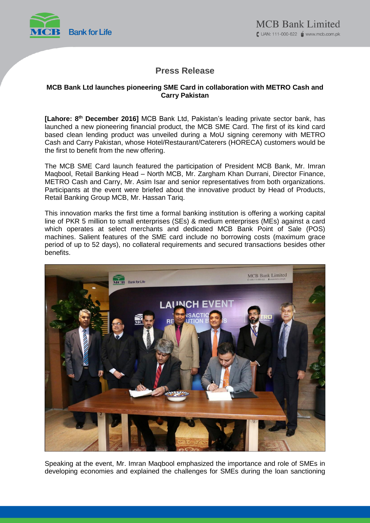

# **Press Release**

## **MCB Bank Ltd launches pioneering SME Card in collaboration with METRO Cash and Carry Pakistan**

**[Lahore: 8 th December 2016]** MCB Bank Ltd, Pakistan's leading private sector bank, has launched a new pioneering financial product, the MCB SME Card. The first of its kind card based clean lending product was unveiled during a MoU signing ceremony with METRO Cash and Carry Pakistan, whose Hotel/Restaurant/Caterers (HORECA) customers would be the first to benefit from the new offering.

The MCB SME Card launch featured the participation of President MCB Bank, Mr. Imran Maqbool, Retail Banking Head – North MCB, Mr. Zargham Khan Durrani, Director Finance, METRO Cash and Carry, Mr. Asim Isar and senior representatives from both organizations. Participants at the event were briefed about the innovative product by Head of Products, Retail Banking Group MCB, Mr. Hassan Tariq.

This innovation marks the first time a formal banking institution is offering a working capital line of PKR 5 million to small enterprises (SEs) & medium enterprises (MEs) against a card which operates at select merchants and dedicated MCB Bank Point of Sale (POS) machines. Salient features of the SME card include no borrowing costs (maximum grace period of up to 52 days), no collateral requirements and secured transactions besides other benefits.



Speaking at the event, Mr. Imran Maqbool emphasized the importance and role of SMEs in developing economies and explained the challenges for SMEs during the loan sanctioning